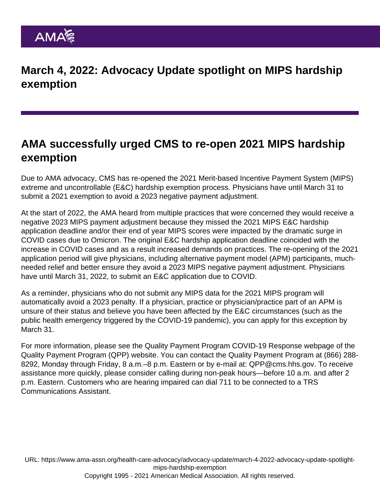## March 4, 2022: Advocacy Update spotlight on MIPS hardship exemption

## AMA successfully urged CMS to re-open 2021 MIPS hardship exemption

Due to AMA advocacy, CMS has re-opened the 2021 Merit-based Incentive Payment System (MIPS) extreme and uncontrollable (E&C) hardship exemption process. Physicians have until March 31 to submit a 2021 exemption to avoid a 2023 negative payment adjustment.

At the start of 2022, the AMA heard from multiple practices that were concerned they would receive a negative 2023 MIPS payment adjustment because they missed the 2021 MIPS E&C hardship application deadline and/or their end of year MIPS scores were impacted by the dramatic surge in COVID cases due to Omicron. The original E&C hardship application deadline coincided with the increase in COVID cases and as a result increased demands on practices. The [re-opening of the 2021](https://qpp.cms.gov/mips/exception-applications?py=2021) [application period](https://qpp.cms.gov/mips/exception-applications?py=2021) will give physicians, including alternative payment model (APM) participants, muchneeded relief and better ensure they avoid a 2023 MIPS negative payment adjustment. Physicians have until March 31, 2022, to submit an E&C application due to COVID.

As a reminder, physicians who do not submit any MIPS data for the 2021 MIPS program will automatically avoid a 2023 penalty. If a physician, practice or physician/practice part of an APM is unsure of their status and believe you have been affected by the E&C circumstances (such as the public health emergency triggered by the COVID-19 pandemic), you can [apply for this exception by](https://qpp.cms.gov/mips/exception-applications?py=2021) [March 31](https://qpp.cms.gov/mips/exception-applications?py=2021).

For more information, please see the [Quality Payment Program COVID-19 Response webpage](https://urldefense.com/v3/__https:/lnks.gd/l/eyJhbGciOiJIUzI1NiJ9.eyJidWxsZXRpbl9saW5rX2lkIjoxMDcsInVyaSI6ImJwMjpjbGljayIsImJ1bGxldGluX2lkIjoiMjAyMjAzMDEuNTQyMTczNjEiLCJ1cmwiOiJodHRwczovL2xua3MuZ2QvbC9leUpoYkdjaU9pSklVekkxTmlKOS5leUppZFd4c1pYUnBibDlzYVc1clgybGtJam94TURZc0luVnlhU0k2SW1Kd01qcGpiR2xqYXlJc0ltSjFiR3hsZEdsdVgybGtJam9pTWpBeU1UQXlNalV1TXpVNU16UTVPVEVpTENKMWNtd2lPaUpvZEhSd2N6b3ZMM0Z3Y0M1amJYTXVaMjkyTDNKbGMyOTFjbU5sY3k5amIzWnBaREU1UDNCNVBUSXdNakFpZlEudXFQMnJKSVAtY3ZMX0Y0ZmI1aVZKNy1MLXdjMHNwSFZUdnZpSTU1bUdZVS9zLzE3NDQ3NTAxOC9ici85ODM0ODQ4MzExNy1sIn0.9hay5-nKVtfRE84NV6EHoKiSgpu5_H3-Ww4zVm3EyFU/s/212594064/br/127354149116-l__;!!AI0rnoUB!r98IFzaSIEq9cpEwXI0b9fW28NbrndtsIVG3DSTs-E7yA2Hn5DOKl20mGrnuV09te6g$) of the Quality Payment Program (QPP) website. You can contact the Quality Payment Program at (866) 288- 8292, Monday through Friday, 8 a.m.–8 p.m. Eastern or by e-mail at: [QPP@cms.hhs.gov](mailto:QPP@cms.hhs.gov). To receive assistance more quickly, please consider calling during non-peak hours—before 10 a.m. and after 2 p.m. Eastern. Customers who are hearing impaired can dial 711 to be connected to a TRS Communications Assistant.

URL: [https://www.ama-assn.org/health-care-advocacy/advocacy-update/march-4-2022-advocacy-update-spotlight](https://www.ama-assn.org/health-care-advocacy/advocacy-update/march-4-2022-advocacy-update-spotlight-mips-hardship-exemption)[mips-hardship-exemption](https://www.ama-assn.org/health-care-advocacy/advocacy-update/march-4-2022-advocacy-update-spotlight-mips-hardship-exemption) Copyright 1995 - 2021 American Medical Association. All rights reserved.